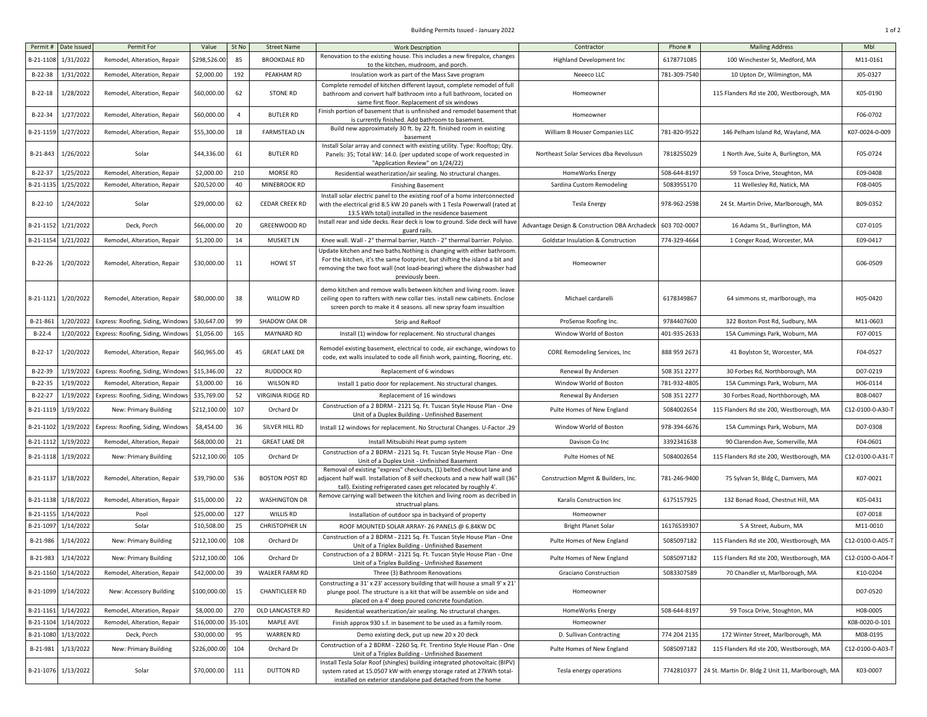## Building Permits Issued - January 2022 2002 1 of 2

| Permit #   | Date Issued         | Permit For                        | Value        | St No          | <b>Street Name</b>    | <b>Work Description</b>                                                                                                                                                                                                                             | Contractor                                    | Phone #      | <b>Mailing Address</b>                                       | Mbl              |
|------------|---------------------|-----------------------------------|--------------|----------------|-----------------------|-----------------------------------------------------------------------------------------------------------------------------------------------------------------------------------------------------------------------------------------------------|-----------------------------------------------|--------------|--------------------------------------------------------------|------------------|
| B-21-110   | 1/31/2022           | Remodel, Alteration, Repair       | \$298,526.00 | 85             | <b>BROOKDALE RD</b>   | Renovation to the existing house. This includes a new firepalce, changes<br>to the kitchen, mudroom, and porch.                                                                                                                                     | Highland Development Inc                      | 6178771085   | 100 Winchester St, Medford, MA                               | M11-0161         |
| B-22-38    | 1/31/2022           | Remodel, Alteration, Repair       | \$2,000.00   | 192            | PEAKHAM RD            | Insulation work as part of the Mass Save program                                                                                                                                                                                                    | Neeeco LLC                                    | 781-309-7540 | 10 Upton Dr, Wilmington, MA                                  | J05-0327         |
|            |                     |                                   |              |                |                       | Complete remodel of kitchen different layout, complete remodel of full                                                                                                                                                                              |                                               |              |                                                              |                  |
| $B-22-18$  | 1/28/2022           | Remodel, Alteration, Repair       | \$60,000.00  | 62             | STONE RD              | bathroom and convert half bathroom into a full bathroom, located on                                                                                                                                                                                 | Homeowner                                     |              | 115 Flanders Rd ste 200, Westborough, MA                     | K05-0190         |
|            |                     |                                   |              |                |                       | same first floor. Replacement of six windows<br>Finish portion of basement that is unfinished and remodel basement that                                                                                                                             |                                               |              |                                                              |                  |
| B-22-34    | 1/27/2022           | Remodel, Alteration, Repair       | \$60,000.00  | $\overline{4}$ | <b>BUTLER RD</b>      | is currently finished. Add bathroom to basement.                                                                                                                                                                                                    | Homeowner                                     |              |                                                              | F06-0702         |
| B-21-1159  | 1/27/2022           | Remodel, Alteration, Repair       | \$55,300.00  | 18             | <b>FARMSTEAD LN</b>   | Build new approximately 30 ft. by 22 ft. finished room in existing<br>basement                                                                                                                                                                      | William B Houser Companies LLC                | 781-820-9522 | 146 Pelham Island Rd, Wayland, MA                            | K07-0024-0-009   |
| B-21-843   | 1/26/2022           | Solar                             | \$44,336.00  | 61             | <b>BUTLER RD</b>      | Install Solar array and connect with existing utility. Type: Rooftop; Qty<br>Panels: 35; Total kW: 14.0. (per updated scope of work requested in<br>"Application Review" on 1/24/22)                                                                | Northeast Solar Services dba Revolusun        | 7818255029   | 1 North Ave, Suite A, Burlington, MA                         | F05-0724         |
| $B-22-37$  | 1/25/2022           | Remodel, Alteration, Repair       | \$2,000.00   | 210            | MORSE RD              | Residential weatherization/air sealing. No structural changes.                                                                                                                                                                                      | HomeWorks Energy                              | 508-644-8197 | 59 Tosca Drive, Stoughton, MA                                | E09-0408         |
| B-21-113   | 1/25/2022           | Remodel, Alteration, Repair       | \$20,520.00  | 40             | MINEBROOK RD          | <b>Finishing Basement</b>                                                                                                                                                                                                                           | Sardina Custom Remodeling                     | 5083955170   | 11 Wellesley Rd, Natick, MA                                  | F08-0405         |
| $B-22-10$  | 1/24/2022           | Solar                             | \$29,000.00  | 62             | <b>CEDAR CREEK RD</b> | Install solar electric panel to the existing roof of a home interconnected<br>with the electrical grid 8.5 kW 20 panels with 1 Tesla Powerwall (rated at<br>13.5 kWh total) installed in the residence basement                                     | <b>Tesla Energy</b>                           | 978-962-2598 | 24 St. Martin Drive, Marlborough, MA                         | B09-0352         |
| B-21-1152  | 1/21/2022           | Deck, Porch                       | \$66,000.00  | 20             | <b>GREENWOOD RD</b>   | Install rear and side decks. Rear deck is low to ground. Side deck will have<br>guard rails.                                                                                                                                                        | Advantage Design & Construction DBA Archadeck | 603 702-0007 | 16 Adams St., Burlington, MA                                 | C07-0105         |
| B-21-1154  | 1/21/2022           | Remodel, Alteration, Repair       | \$1,200.00   | 14             | <b>MUSKET LN</b>      | Knee wall. Wall - 2" thermal barrier, Hatch - 2" thermal barrier. Polyiso.                                                                                                                                                                          | Goldstar Insulation & Construction            | 774-329-4664 | 1 Conger Road, Worcester, MA                                 | E09-0417         |
| $B-22-26$  | 1/20/2022           | Remodel, Alteration, Repair       | \$30,000.00  | 11             | HOWE ST               | Update kitchen and two baths. Nothing is changing with either bathroom<br>For the kitchen, it's the same footprint, but shifting the island a bit and<br>removing the two foot wall (not load-bearing) where the dishwasher had<br>previously been. | Homeowner                                     |              |                                                              | G06-0509         |
| B-21-1121  | 1/20/2022           | Remodel, Alteration, Repair       | \$80,000.00  | 38             | WILLOW RD             | demo kitchen and remove walls between kitchen and living room. leave<br>ceiling open to rafters with new collar ties. install new cabinets. Enclose<br>screen porch to make it 4 seasons. all new spray foam insualtion                             | Michael cardarelli                            | 6178349867   | 64 simmons st, marlborough, ma                               | H05-0420         |
| B-21-861   | 1/20/2022           | Express: Roofing, Siding, Windows | \$30,647.00  | 99             | SHADOW OAK DR         | Strip and ReRoof                                                                                                                                                                                                                                    | ProSense Roofing Inc.                         | 9784407600   | 322 Boston Post Rd, Sudbury, MA                              | M11-0603         |
| $B-22-4$   | 1/20/2022           | Express: Roofing, Siding, Windows | \$1,056.00   | 165            | MAYNARD RD            | Install (1) window for replacement. No structural changes                                                                                                                                                                                           | Window World of Boston                        | 401-935-2633 | 15A Cummings Park, Woburn, MA                                | F07-0015         |
| $B-22-17$  | 1/20/2022           | Remodel, Alteration, Repair       | \$60,965.00  | 45             | <b>GREAT LAKE DR</b>  | Remodel existing basement, electrical to code, air exchange, windows to<br>code, ext walls insulated to code all finish work, painting, flooring, etc.                                                                                              | CORE Remodeling Services, Inc                 | 888 959 2673 | 41 Boylston St, Worcester, MA                                | F04-0527         |
| B-22-39    | 1/19/2022           | Express: Roofing, Siding, Windows | \$15,346.00  | 22             | <b>RUDDOCK RD</b>     | Replacement of 6 windows                                                                                                                                                                                                                            | Renewal By Andersen                           | 508 351 2277 | 30 Forbes Rd, Northborough, MA                               | D07-0219         |
| $B-22-35$  | 1/19/2022           | Remodel, Alteration, Repair       | \$3,000.00   | 16             | WILSON RD             | Install 1 patio door for replacement. No structural changes.                                                                                                                                                                                        | Window World of Boston                        | 781-932-4805 | 15A Cummings Park, Woburn, MA                                | H06-0114         |
| $B-22-27$  | 1/19/2022           | Express: Roofing, Siding, Windows | \$35,769.00  | 52             | VIRGINIA RIDGE RD     | Replacement of 16 windows                                                                                                                                                                                                                           | Renewal By Andersen                           | 508 351 2277 | 30 Forbes Road, Northborough, MA                             | B08-0407         |
| B-21-111   | 1/19/2022           | New: Primary Building             | \$212,100.00 | 107            | Orchard Dr            | Construction of a 2 BDRM - 2121 Sq. Ft. Tuscan Style House Plan - One<br>Unit of a Duplex Building - Unfinished Basement                                                                                                                            | Pulte Homes of New England                    | 5084002654   | 115 Flanders Rd ste 200, Westborough, MA                     | C12-0100-0-A30-T |
| B-21-1102  | 1/19/2022           | Express: Roofing, Siding, Windows | \$8,454.00   | 36             | SILVER HILL RD        | 19. Install 12 windows for replacement. No Structural Changes. U-Factor                                                                                                                                                                             | Window World of Boston                        | 978-394-6676 | 15A Cummings Park, Woburn, MA                                | D07-0308         |
| $B-21-111$ | 1/19/2022           | Remodel, Alteration, Repair       | \$68,000.00  | 21             | <b>GREAT LAKE DR</b>  | Install Mitsubishi Heat pump system                                                                                                                                                                                                                 | Davison Co Inc                                | 3392341638   | 90 Clarendon Ave, Somerville, MA                             | F04-0601         |
| B-21-1118  | 1/19/2022           | New: Primary Building             | \$212,100.00 | 105            | Orchard Dr            | Construction of a 2 BDRM - 2121 Sq. Ft. Tuscan Style House Plan - One<br>Unit of a Duplex Unit - Unfinished Basement                                                                                                                                | Pulte Homes of NE                             | 5084002654   | 115 Flanders Rd ste 200, Westborough, MA                     | C12-0100-0-A31-1 |
| B-21-1137  | 1/18/2022           | Remodel, Alteration, Repair       | \$39,790.00  | 536            | <b>BOSTON POST RD</b> | Removal of existing "express" checkouts, (1) belted checkout lane and<br>adjacent half wall. Installation of 8 self checkouts and a new half wall (36"<br>tall). Existing refrigerated cases get relocated by roughly 4'.                           | Construction Mgmt & Builders, Inc.            | 781-246-9400 | 75 Sylvan St, Bldg C, Damvers, MA                            | K07-0021         |
| B-21-1138  | 1/18/2022           | Remodel, Alteration, Repair       | \$15,000.00  | 22             | <b>WASHINGTON DR</b>  | Remove carrying wall between the kitchen and living room as decribed in<br>structrual plans.                                                                                                                                                        | Karalis Construction Inc                      | 6175157925   | 132 Bonad Road, Chestnut Hill, MA                            | K05-0431         |
| B-21-115   | 1/14/2022           | Pool                              | \$25,000.00  | 127            | WILLIS RD             | Installation of outdoor spa in backyard of property                                                                                                                                                                                                 | Homeowner                                     |              |                                                              | E07-0018         |
| B-21-1097  | 1/14/2022           | Solar                             | \$10,508.00  | 25             | <b>CHRISTOPHER LN</b> | ROOF MOUNTED SOLAR ARRAY- 26 PANELS @ 6.84KW DC                                                                                                                                                                                                     | <b>Bright Planet Solar</b>                    | 16176539307  | 5 A Street, Auburn, MA                                       | M11-0010         |
| B-21-986   | 1/14/2022           | New: Primary Building             | \$212,100.00 | 108            | Orchard Dr            | Construction of a 2 BDRM - 2121 Sq. Ft. Tuscan Style House Plan - One<br>Unit of a Triplex Building - Unfinished Basement                                                                                                                           | Pulte Homes of New England                    | 5085097182   | 115 Flanders Rd ste 200, Westborough, MA                     | C12-0100-0-A05-T |
| B-21-983   | 1/14/2022           | New: Primary Building             | \$212,100.00 | 106            | Orchard Dr            | Construction of a 2 BDRM - 2121 Sq. Ft. Tuscan Style House Plan - One<br>Unit of a Triplex Building - Unfinished Basement                                                                                                                           | Pulte Homes of New England                    | 5085097182   | 115 Flanders Rd ste 200, Westborough, MA                     | C12-0100-0-A04-T |
|            | B-21-1160 1/14/2022 | Remodel, Alteration, Repair       | \$42,000.00  | 39             | WALKER FARM RD        | Three (3) Bathroom Renovations                                                                                                                                                                                                                      | Graciano Construction                         | 5083307589   | 70 Chandler st, Marlborough, MA                              | K10-0204         |
|            | B-21-1099 1/14/2022 | New: Accessory Building           | \$100,000.00 | 15             | CHANTICLEER RD        | Constructing a 31' x 23' accessory building that will house a small 9' x 21'<br>plunge pool. The structure is a kit that will be assemble on side and<br>placed on a 4' deep poured concrete foundation.                                            | Homeowner                                     |              |                                                              | D07-0520         |
| $B-21-116$ | 1/14/2022           | Remodel, Alteration, Repair       | \$8,000.00   | 270            | OLD LANCASTER RD      | Residential weatherization/air sealing. No structural changes.                                                                                                                                                                                      | HomeWorks Energy                              | 508-644-8197 | 59 Tosca Drive, Stoughton, MA                                | H08-0005         |
| B-21-1104  | 1/14/2022           | Remodel, Alteration, Repair       | \$16,000.00  | 35-101         | MAPLE AVE             | Finish approx 930 s.f. in basement to be used as a family room.                                                                                                                                                                                     | Homeowner                                     |              |                                                              | K08-0020-0-101   |
| B-21-1080  | 1/13/2022           | Deck, Porch                       | \$30,000.00  | 95             | <b>WARREN RD</b>      | Demo existing deck, put up new 20 x 20 deck                                                                                                                                                                                                         | D. Sullivan Contracting                       | 774 204 2135 | 172 Winter Street, Marlborough, MA                           | M08-0195         |
| B-21-981   | 1/13/2022           | New: Primary Building             | \$226,000.0  | 104            | Orchard Dr            | Construction of a 2 BDRM - 2260 Sq. Ft. Trentino Style House Plan - One<br>Unit of a Triplex Building - Unfinished Basement                                                                                                                         | Pulte Homes of New England                    | 5085097182   | 115 Flanders Rd ste 200, Westborough, MA                     | C12-0100-0-A03-T |
| B-21-1076  | 1/13/2022           | Solar                             | \$70,000.00  | 111            | <b>DUTTON RD</b>      | Install Tesla Solar Roof (shingles) building integrated photovoltaic (BIPV)<br>system rated at 15.0507 kW with energy storage rated at 27kWh total-<br>installed on exterior standalone pad detached from the home                                  | Tesla energy operations                       |              | 7742810377 24 St. Martin Dr. Bldg 2 Unit 11, Marlborough, MA | K03-0007         |